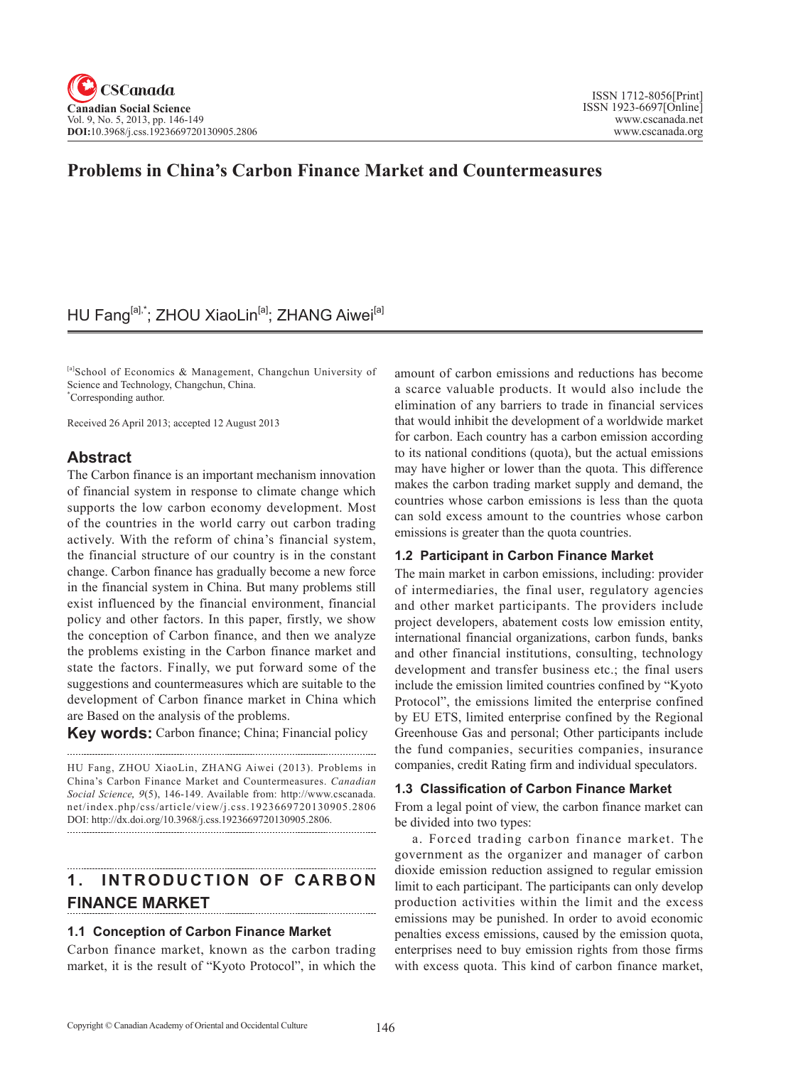## **Problems in China's Carbon Finance Market and Countermeasures**

## HU Fang<sup>[a],\*</sup>; ZHOU XiaoLin<sup>[a]</sup>; ZHANG Aiwei<sup>[a]</sup>

[a]School of Economics & Management, Changchun University of Science and Technology, Changchun, China. \* Corresponding author.

Received 26 April 2013; accepted 12 August 2013

## **Abstract**

The Carbon finance is an important mechanism innovation of financial system in response to climate change which supports the low carbon economy development. Most of the countries in the world carry out carbon trading actively. With the reform of china's financial system, the financial structure of our country is in the constant change. Carbon finance has gradually become a new force in the financial system in China. But many problems still exist influenced by the financial environment, financial policy and other factors. In this paper, firstly, we show the conception of Carbon finance, and then we analyze the problems existing in the Carbon finance market and state the factors. Finally, we put forward some of the suggestions and countermeasures which are suitable to the development of Carbon finance market in China which are Based on the analysis of the problems.

**Key words:** Carbon finance; China; Financial policy

HU Fang, ZHOU XiaoLin, ZHANG Aiwei (2013). Problems in China's Carbon Finance Market and Countermeasures. *Canadian Social Science*, <sup>9</sup>(5), 146-149. Available from: http://www.cscanada. net/index.php/css/article/view/j.css.1923669720130905.2806 DOI: http://dx.doi.org/10.3968/j.css.1923669720130905.2806. 

# **1. INTRODUCTION OF CARBON FINANCE MARKET**

#### **1.1 Conception of Carbon Finance Market**

Carbon finance market, known as the carbon trading market, it is the result of "Kyoto Protocol", in which the

amount of carbon emissions and reductions has become a scarce valuable products. It would also include the elimination of any barriers to trade in financial services that would inhibit the development of a worldwide market for carbon. Each country has a carbon emission according to its national conditions (quota), but the actual emissions may have higher or lower than the quota. This difference makes the carbon trading market supply and demand, the countries whose carbon emissions is less than the quota can sold excess amount to the countries whose carbon emissions is greater than the quota countries.

#### **1.2 Participant in Carbon Finance Market**

The main market in carbon emissions, including: provider of intermediaries, the final user, regulatory agencies and other market participants. The providers include project developers, abatement costs low emission entity, international financial organizations, carbon funds, banks and other financial institutions, consulting, technology development and transfer business etc.; the final users include the emission limited countries confined by "Kyoto Protocol", the emissions limited the enterprise confined by EU ETS, limited enterprise confined by the Regional Greenhouse Gas and personal; Other participants include the fund companies, securities companies, insurance companies, credit Rating firm and individual speculators.

#### **1.3 Classification of Carbon Finance Market**

From a legal point of view, the carbon finance market can be divided into two types:

a. Forced trading carbon finance market. The government as the organizer and manager of carbon dioxide emission reduction assigned to regular emission limit to each participant. The participants can only develop production activities within the limit and the excess emissions may be punished. In order to avoid economic penalties excess emissions, caused by the emission quota, enterprises need to buy emission rights from those firms with excess quota. This kind of carbon finance market,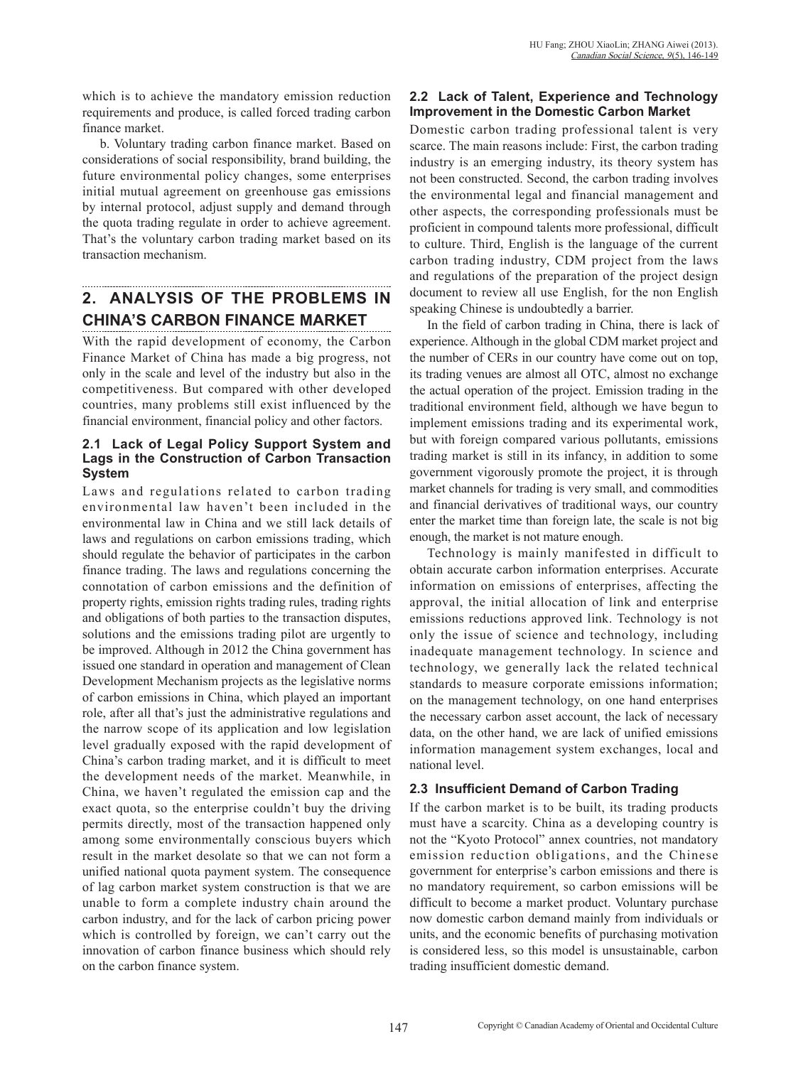which is to achieve the mandatory emission reduction requirements and produce, is called forced trading carbon finance market.

b. Voluntary trading carbon finance market. Based on considerations of social responsibility, brand building, the future environmental policy changes, some enterprises initial mutual agreement on greenhouse gas emissions by internal protocol, adjust supply and demand through the quota trading regulate in order to achieve agreement. That's the voluntary carbon trading market based on its transaction mechanism.

## **2. ANALYSIS OF THE PROBLEMS IN CHINA'S CARBON FINANCE MARKET**

With the rapid development of economy, the Carbon Finance Market of China has made a big progress, not only in the scale and level of the industry but also in the competitiveness. But compared with other developed countries, many problems still exist influenced by the financial environment, financial policy and other factors.

#### **2.1 Lack of Legal Policy Support System and Lags in the Construction of Carbon Transaction System**

Laws and regulations related to carbon trading environmental law haven't been included in the environmental law in China and we still lack details of laws and regulations on carbon emissions trading, which should regulate the behavior of participates in the carbon finance trading. The laws and regulations concerning the connotation of carbon emissions and the definition of property rights, emission rights trading rules, trading rights and obligations of both parties to the transaction disputes, solutions and the emissions trading pilot are urgently to be improved. Although in 2012 the China government has issued one standard in operation and management of Clean Development Mechanism projects as the legislative norms of carbon emissions in China, which played an important role, after all that's just the administrative regulations and the narrow scope of its application and low legislation level gradually exposed with the rapid development of China's carbon trading market, and it is difficult to meet the development needs of the market. Meanwhile, in China, we haven't regulated the emission cap and the exact quota, so the enterprise couldn't buy the driving permits directly, most of the transaction happened only among some environmentally conscious buyers which result in the market desolate so that we can not form a unified national quota payment system. The consequence of lag carbon market system construction is that we are unable to form a complete industry chain around the carbon industry, and for the lack of carbon pricing power which is controlled by foreign, we can't carry out the innovation of carbon finance business which should rely on the carbon finance system.

### **2.2 Lack of Talent, Experience and Technology Improvement in the Domestic Carbon Market**

Domestic carbon trading professional talent is very scarce. The main reasons include: First, the carbon trading industry is an emerging industry, its theory system has not been constructed. Second, the carbon trading involves the environmental legal and financial management and other aspects, the corresponding professionals must be proficient in compound talents more professional, difficult to culture. Third, English is the language of the current carbon trading industry, CDM project from the laws and regulations of the preparation of the project design document to review all use English, for the non English speaking Chinese is undoubtedly a barrier.

In the field of carbon trading in China, there is lack of experience. Although in the global CDM market project and the number of CERs in our country have come out on top, its trading venues are almost all OTC, almost no exchange the actual operation of the project. Emission trading in the traditional environment field, although we have begun to implement emissions trading and its experimental work, but with foreign compared various pollutants, emissions trading market is still in its infancy, in addition to some government vigorously promote the project, it is through market channels for trading is very small, and commodities and financial derivatives of traditional ways, our country enter the market time than foreign late, the scale is not big enough, the market is not mature enough.

Technology is mainly manifested in difficult to obtain accurate carbon information enterprises. Accurate information on emissions of enterprises, affecting the approval, the initial allocation of link and enterprise emissions reductions approved link. Technology is not only the issue of science and technology, including inadequate management technology. In science and technology, we generally lack the related technical standards to measure corporate emissions information; on the management technology, on one hand enterprises the necessary carbon asset account, the lack of necessary data, on the other hand, we are lack of unified emissions information management system exchanges, local and national level.

### **2.3 Insufficient Demand of Carbon Trading**

If the carbon market is to be built, its trading products must have a scarcity. China as a developing country is not the "Kyoto Protocol" annex countries, not mandatory emission reduction obligations, and the Chinese government for enterprise's carbon emissions and there is no mandatory requirement, so carbon emissions will be difficult to become a market product. Voluntary purchase now domestic carbon demand mainly from individuals or units, and the economic benefits of purchasing motivation is considered less, so this model is unsustainable, carbon trading insufficient domestic demand.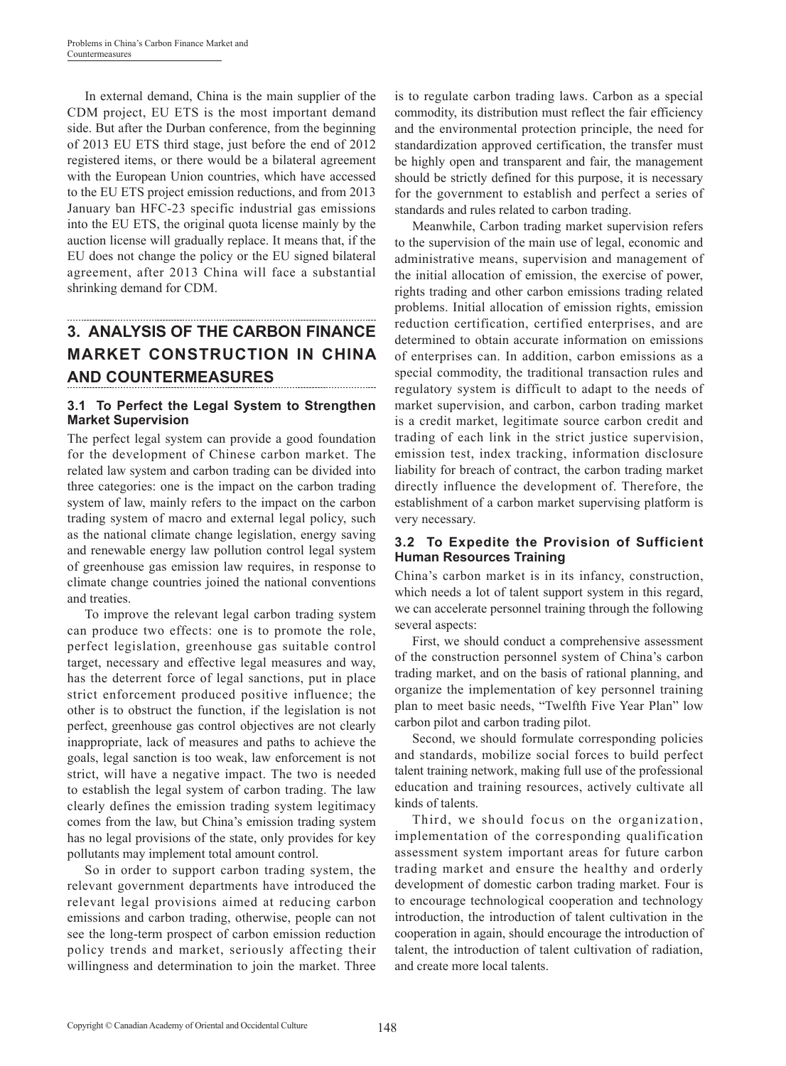In external demand, China is the main supplier of the CDM project, EU ETS is the most important demand side. But after the Durban conference, from the beginning of 2013 EU ETS third stage, just before the end of 2012 registered items, or there would be a bilateral agreement with the European Union countries, which have accessed to the EU ETS project emission reductions, and from 2013 January ban HFC-23 specific industrial gas emissions into the EU ETS, the original quota license mainly by the auction license will gradually replace. It means that, if the EU does not change the policy or the EU signed bilateral agreement, after 2013 China will face a substantial shrinking demand for CDM.

# **3. ANALYSIS OF THE CARBON FINANCE MARKET CONSTRUCTION IN CHINA AND COUNTERMEASURES**

### **3.1 To Perfect the Legal System to Strengthen Market Supervision**

The perfect legal system can provide a good foundation for the development of Chinese carbon market. The related law system and carbon trading can be divided into three categories: one is the impact on the carbon trading system of law, mainly refers to the impact on the carbon trading system of macro and external legal policy, such as the national climate change legislation, energy saving and renewable energy law pollution control legal system of greenhouse gas emission law requires, in response to climate change countries joined the national conventions and treaties.

To improve the relevant legal carbon trading system can produce two effects: one is to promote the role, perfect legislation, greenhouse gas suitable control target, necessary and effective legal measures and way, has the deterrent force of legal sanctions, put in place strict enforcement produced positive influence; the other is to obstruct the function, if the legislation is not perfect, greenhouse gas control objectives are not clearly inappropriate, lack of measures and paths to achieve the goals, legal sanction is too weak, law enforcement is not strict, will have a negative impact. The two is needed to establish the legal system of carbon trading. The law clearly defines the emission trading system legitimacy comes from the law, but China's emission trading system has no legal provisions of the state, only provides for key pollutants may implement total amount control.

So in order to support carbon trading system, the relevant government departments have introduced the relevant legal provisions aimed at reducing carbon emissions and carbon trading, otherwise, people can not see the long-term prospect of carbon emission reduction policy trends and market, seriously affecting their willingness and determination to join the market. Three

is to regulate carbon trading laws. Carbon as a special commodity, its distribution must reflect the fair efficiency and the environmental protection principle, the need for standardization approved certification, the transfer must be highly open and transparent and fair, the management should be strictly defined for this purpose, it is necessary for the government to establish and perfect a series of standards and rules related to carbon trading.

Meanwhile, Carbon trading market supervision refers to the supervision of the main use of legal, economic and administrative means, supervision and management of the initial allocation of emission, the exercise of power, rights trading and other carbon emissions trading related problems. Initial allocation of emission rights, emission reduction certification, certified enterprises, and are determined to obtain accurate information on emissions of enterprises can. In addition, carbon emissions as a special commodity, the traditional transaction rules and regulatory system is difficult to adapt to the needs of market supervision, and carbon, carbon trading market is a credit market, legitimate source carbon credit and trading of each link in the strict justice supervision, emission test, index tracking, information disclosure liability for breach of contract, the carbon trading market directly influence the development of. Therefore, the establishment of a carbon market supervising platform is very necessary.

### **3.2 To Expedite the Provision of Sufficient Human Resources Training**

China's carbon market is in its infancy, construction, which needs a lot of talent support system in this regard, we can accelerate personnel training through the following several aspects:

First, we should conduct a comprehensive assessment of the construction personnel system of China's carbon trading market, and on the basis of rational planning, and organize the implementation of key personnel training plan to meet basic needs, "Twelfth Five Year Plan" low carbon pilot and carbon trading pilot.

Second, we should formulate corresponding policies and standards, mobilize social forces to build perfect talent training network, making full use of the professional education and training resources, actively cultivate all kinds of talents.

Third, we should focus on the organization, implementation of the corresponding qualification assessment system important areas for future carbon trading market and ensure the healthy and orderly development of domestic carbon trading market. Four is to encourage technological cooperation and technology introduction, the introduction of talent cultivation in the cooperation in again, should encourage the introduction of talent, the introduction of talent cultivation of radiation, and create more local talents.